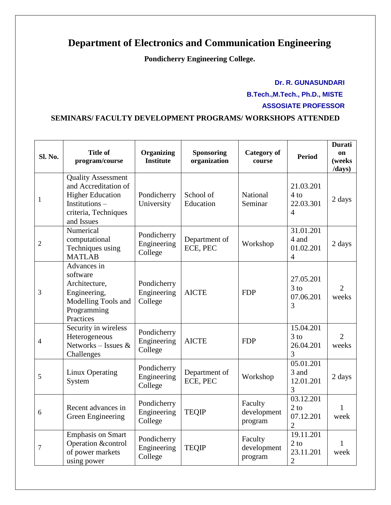## **Department of Electronics and Communication Engineering**

**Pondicherry Engineering College.**

## **Dr. R. GUNASUNDARI B.Tech.,M.Tech., Ph.D., MISTE ASSOSIATE PROFESSOR**

## **SEMINARS/ FACULTY DEVELOPMENT PROGRAMS/ WORKSHOPS ATTENDED**

| Sl. No.        | <b>Title of</b><br>program/course                                                                                                   | <b>Organizing</b><br><b>Institute</b> | <b>Sponsoring</b><br>organization | <b>Category of</b><br>course      | <b>Period</b>                                      | <b>Durati</b><br>on<br>(weeks<br>/days) |
|----------------|-------------------------------------------------------------------------------------------------------------------------------------|---------------------------------------|-----------------------------------|-----------------------------------|----------------------------------------------------|-----------------------------------------|
| 1              | <b>Quality Assessment</b><br>and Accreditation of<br><b>Higher Education</b><br>Institutions-<br>criteria, Techniques<br>and Issues | Pondicherry<br>University             | School of<br>Education            | National<br>Seminar               | 21.03.201<br>$4$ to<br>22.03.301<br>$\overline{4}$ | 2 days                                  |
| $\overline{2}$ | Numerical<br>computational<br>Techniques using<br><b>MATLAB</b>                                                                     | Pondicherry<br>Engineering<br>College | Department of<br>ECE, PEC         | Workshop                          | 31.01.201<br>4 and<br>01.02.201<br>$\overline{4}$  | 2 days                                  |
| 3              | Advances in<br>software<br>Architecture,<br>Engineering,<br>Modelling Tools and<br>Programming<br>Practices                         | Pondicherry<br>Engineering<br>College | <b>AICTE</b>                      | <b>FDP</b>                        | 27.05.201<br>$3$ to<br>07.06.201<br>3              | $\overline{2}$<br>weeks                 |
| 4              | Security in wireless<br>Heterogeneous<br>Networks – Issues $\&$<br>Challenges                                                       | Pondicherry<br>Engineering<br>College | <b>AICTE</b>                      | <b>FDP</b>                        | 15.04.201<br>$3$ to<br>26.04.201<br>3              | $\overline{2}$<br>weeks                 |
| 5              | Linux Operating<br>System                                                                                                           | Pondicherry<br>Engineering<br>College | Department of<br>ECE, PEC         | Workshop                          | 05.01.201<br>3 and<br>12.01.201<br>3               | 2 days                                  |
| 6              | Recent advances in<br>Green Engineering                                                                                             | Pondicherry<br>Engineering<br>College | <b>TEQIP</b>                      | Faculty<br>development<br>program | 03.12.201<br>$2$ to<br>07.12.201<br>$\overline{2}$ | 1<br>week                               |
| $\overline{7}$ | <b>Emphasis on Smart</b><br>Operation &control<br>of power markets<br>using power                                                   | Pondicherry<br>Engineering<br>College | <b>TEQIP</b>                      | Faculty<br>development<br>program | 19.11.201<br>$2$ to<br>23.11.201<br>$\overline{2}$ | 1<br>week                               |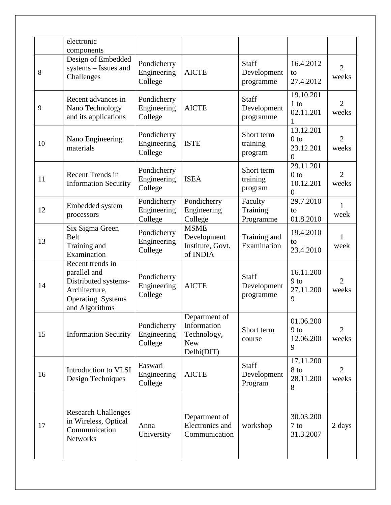|    | electronic<br>components                                                                                                |                                       |                                                                         |                                   |                                                             |                         |
|----|-------------------------------------------------------------------------------------------------------------------------|---------------------------------------|-------------------------------------------------------------------------|-----------------------------------|-------------------------------------------------------------|-------------------------|
| 8  | Design of Embedded<br>systems - Issues and<br>Challenges                                                                | Pondicherry<br>Engineering<br>College | <b>AICTE</b>                                                            | Staff<br>Development<br>programme | 16.4.2012<br>to<br>27.4.2012                                | $\overline{2}$<br>weeks |
| 9  | Recent advances in<br>Nano Technology<br>and its applications                                                           | Pondicherry<br>Engineering<br>College | <b>AICTE</b>                                                            | Staff<br>Development<br>programme | 19.10.201<br>$1$ to<br>02.11.201                            | $\overline{2}$<br>weeks |
| 10 | Nano Engineering<br>materials                                                                                           | Pondicherry<br>Engineering<br>College | <b>ISTE</b>                                                             | Short term<br>training<br>program | 13.12.201<br>0 <sub>to</sub><br>23.12.201<br>$\overline{0}$ | $\overline{2}$<br>weeks |
| 11 | Recent Trends in<br><b>Information Security</b>                                                                         | Pondicherry<br>Engineering<br>College | <b>ISEA</b>                                                             | Short term<br>training<br>program | 29.11.201<br>0 <sub>to</sub><br>10.12.201<br>$\overline{0}$ | $\overline{2}$<br>weeks |
| 12 | Embedded system<br>processors                                                                                           | Pondicherry<br>Engineering<br>College | Pondicherry<br>Engineering<br>College                                   | Faculty<br>Training<br>Programme  | 29.7.2010<br>to<br>01.8.2010                                | 1<br>week               |
| 13 | Six Sigma Green<br>Belt<br>Training and<br>Examination                                                                  | Pondicherry<br>Engineering<br>College | <b>MSME</b><br>Development<br>Institute, Govt.<br>of INDIA              | Training and<br>Examination       | 19.4.2010<br>to<br>23.4.2010                                | 1<br>week               |
| 14 | Recent trends in<br>parallel and<br>Distributed systems-<br>Architecture,<br><b>Operating Systems</b><br>and Algorithms | Pondicherry<br>Engineering<br>College | <b>AICTE</b>                                                            | Staff<br>Development<br>programme | 16.11.200<br>$9$ to<br>27.11.200<br>9                       | $\overline{2}$<br>weeks |
| 15 | <b>Information Security</b>                                                                                             | Pondicherry<br>Engineering<br>College | Department of<br>Information<br>Technology,<br><b>New</b><br>Delhi(DIT) | Short term<br>course              | 01.06.200<br>$9$ to<br>12.06.200<br>9                       | $\overline{2}$<br>weeks |
| 16 | Introduction to VLSI<br>Design Techniques                                                                               | Easwari<br>Engineering<br>College     | <b>AICTE</b>                                                            | Staff<br>Development<br>Program   | 17.11.200<br>8 to<br>28.11.200<br>8                         | $\overline{2}$<br>weeks |
| 17 | <b>Research Challenges</b><br>in Wireless, Optical<br>Communication<br><b>Networks</b>                                  | Anna<br>University                    | Department of<br>Electronics and<br>Communication                       | workshop                          | 30.03.200<br>$7$ to<br>31.3.2007                            | 2 days                  |